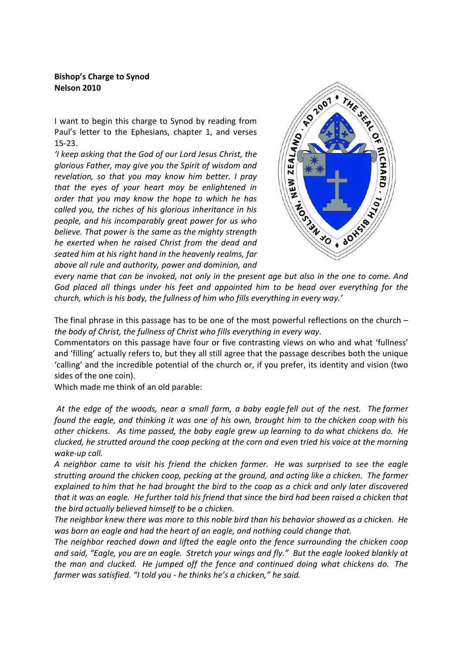## Bishop's Charge to Synod Nelson 2010

I want to begin this charge to Synod by reading from Paul's letter to the Ephesians, chapter 1, and verses 15-23.

'I keep asking that the God of our Lord Jesus Christ, the glorious Father, may give you the Spirit of wisdom and revelation, so that you may know him better. I pray that the eyes of your heart may be enlightened in order that you may know the hope to which he has called you, the riches of his glorious inheritance in his people, and his incomparably great power for us who believe. That power is the same as the mighty strength he exerted when he raised Christ from the dead and seated him at his right hand in the heavenly realms, far above all rule and authority, power and dominion, and



every name that can be invoked, not only in the present age but also in the one to come. And God placed all things under his feet and appointed him to be head over everything for the church, which is his body, the fullness of him who fills everything in every way.'

The final phrase in this passage has to be one of the most powerful reflections on the church – the body of Christ, the fullness of Christ who fills everything in every way.

Commentators on this passage have four or five contrasting views on who and what 'fullness' and 'filling' actually refers to, but they all still agree that the passage describes both the unique 'calling' and the incredible potential of the church or, if you prefer, its identity and vision (two sides of the one coin).

Which made me think of an old parable:

 At the edge of the woods, near a small farm, a baby eagle fell out of the nest. The farmer found the eagle, and thinking it was one of his own, brought him to the chicken coop with his other chickens. As time passed, the baby eagle grew up learning to do what chickens do. He clucked, he strutted around the coop pecking at the corn and even tried his voice at the morning wake-up call.

A neighbor came to visit his friend the chicken farmer. He was surprised to see the eagle strutting around the chicken coop, pecking at the ground, and acting like a chicken. The farmer explained to him that he had brought the bird to the coop as a chick and only later discovered that it was an eagle. He further told his friend that since the bird had been raised a chicken that the bird actually believed himself to be a chicken.

The neighbor knew there was more to this noble bird than his behavior showed as a chicken. He was born an eagle and had the heart of an eagle, and nothing could change that.

The neighbor reached down and lifted the eagle onto the fence surrounding the chicken coop and said, "Eagle, you are an eagle. Stretch your wings and fly." But the eagle looked blankly at the man and clucked. He jumped off the fence and continued doing what chickens do. The farmer was satisfied. "I told you - he thinks he's a chicken," he said.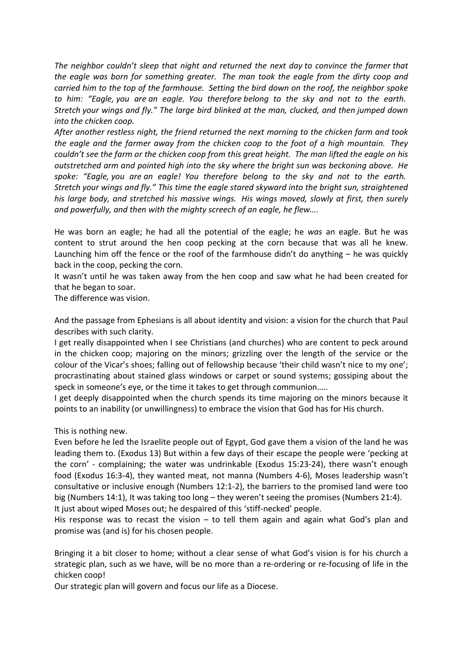The neighbor couldn't sleep that night and returned the next day to convince the farmer that the eagle was born for something greater. The man took the eagle from the dirty coop and carried him to the top of the farmhouse. Setting the bird down on the roof, the neighbor spoke to him: "Eagle, you are an eagle. You therefore belong to the sky and not to the earth. Stretch your wings and fly." The large bird blinked at the man, clucked, and then jumped down into the chicken coop.

After another restless night, the friend returned the next morning to the chicken farm and took the eagle and the farmer away from the chicken coop to the foot of a high mountain. They couldn't see the farm or the chicken coop from this great height. The man lifted the eagle on his outstretched arm and pointed high into the sky where the bright sun was beckoning above. He spoke: "Eagle, you are an eagle! You therefore belong to the sky and not to the earth. Stretch your wings and fly." This time the eagle stared skyward into the bright sun, straightened his large body, and stretched his massive wings. His wings moved, slowly at first, then surely and powerfully, and then with the mighty screech of an eagle, he flew….

He was born an eagle; he had all the potential of the eagle; he was an eagle. But he was content to strut around the hen coop pecking at the corn because that was all he knew. Launching him off the fence or the roof of the farmhouse didn't do anything – he was quickly back in the coop, pecking the corn.

It wasn't until he was taken away from the hen coop and saw what he had been created for that he began to soar.

The difference was vision.

And the passage from Ephesians is all about identity and vision: a vision for the church that Paul describes with such clarity.

I get really disappointed when I see Christians (and churches) who are content to peck around in the chicken coop; majoring on the minors; grizzling over the length of the service or the colour of the Vicar's shoes; falling out of fellowship because 'their child wasn't nice to my one'; procrastinating about stained glass windows or carpet or sound systems; gossiping about the speck in someone's eye, or the time it takes to get through communion…..

I get deeply disappointed when the church spends its time majoring on the minors because it points to an inability (or unwillingness) to embrace the vision that God has for His church.

This is nothing new.

Even before he led the Israelite people out of Egypt, God gave them a vision of the land he was leading them to. (Exodus 13) But within a few days of their escape the people were 'pecking at the corn' - complaining; the water was undrinkable (Exodus 15:23-24), there wasn't enough food (Exodus 16:3-4), they wanted meat, not manna (Numbers 4-6), Moses leadership wasn't consultative or inclusive enough (Numbers 12:1-2), the barriers to the promised land were too big (Numbers 14:1), It was taking too long – they weren't seeing the promises (Numbers 21:4).

It just about wiped Moses out; he despaired of this 'stiff-necked' people.

His response was to recast the vision  $-$  to tell them again and again what God's plan and promise was (and is) for his chosen people.

Bringing it a bit closer to home; without a clear sense of what God's vision is for his church a strategic plan, such as we have, will be no more than a re-ordering or re-focusing of life in the chicken coop!

Our strategic plan will govern and focus our life as a Diocese.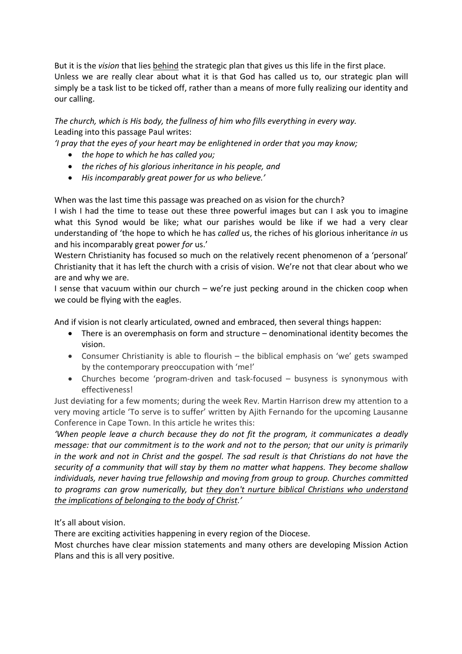But it is the *vision* that lies behind the strategic plan that gives us this life in the first place. Unless we are really clear about what it is that God has called us to, our strategic plan will simply be a task list to be ticked off, rather than a means of more fully realizing our identity and our calling.

The church, which is His body, the fullness of him who fills everything in every way. Leading into this passage Paul writes:

'I pray that the eyes of your heart may be enlightened in order that you may know;

- the hope to which he has called you;
- the riches of his glorious inheritance in his people, and
- His incomparably great power for us who believe.'

When was the last time this passage was preached on as vision for the church?

I wish I had the time to tease out these three powerful images but can I ask you to imagine what this Synod would be like; what our parishes would be like if we had a very clear understanding of 'the hope to which he has called us, the riches of his glorious inheritance in us and his incomparably great power for us.'

Western Christianity has focused so much on the relatively recent phenomenon of a 'personal' Christianity that it has left the church with a crisis of vision. We're not that clear about who we are and why we are.

I sense that vacuum within our church – we're just pecking around in the chicken coop when we could be flying with the eagles.

And if vision is not clearly articulated, owned and embraced, then several things happen:

- There is an overemphasis on form and structure denominational identity becomes the vision.
- Consumer Christianity is able to flourish the biblical emphasis on 'we' gets swamped by the contemporary preoccupation with 'me!'
- Churches become 'program-driven and task-focused busyness is synonymous with effectiveness!

Just deviating for a few moments; during the week Rev. Martin Harrison drew my attention to a very moving article 'To serve is to suffer' written by Ajith Fernando for the upcoming Lausanne Conference in Cape Town. In this article he writes this:

'When people leave a church because they do not fit the program, it communicates a deadly message: that our commitment is to the work and not to the person; that our unity is primarily in the work and not in Christ and the gospel. The sad result is that Christians do not have the security of a community that will stay by them no matter what happens. They become shallow individuals, never having true fellowship and moving from group to group. Churches committed to programs can grow numerically, but they don't nurture biblical Christians who understand the implications of belonging to the body of Christ.'

It's all about vision.

There are exciting activities happening in every region of the Diocese.

Most churches have clear mission statements and many others are developing Mission Action Plans and this is all very positive.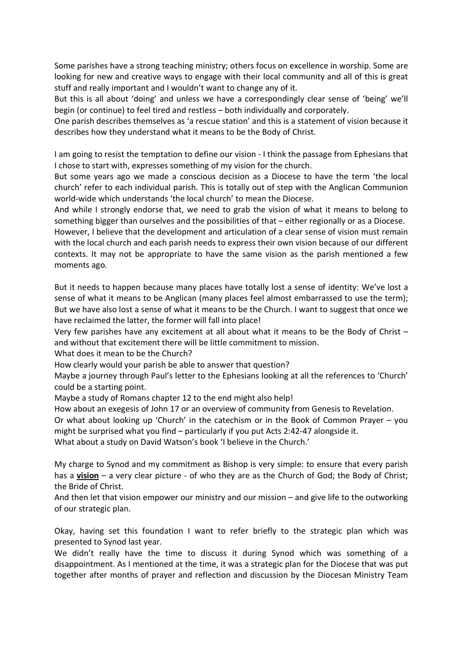Some parishes have a strong teaching ministry; others focus on excellence in worship. Some are looking for new and creative ways to engage with their local community and all of this is great stuff and really important and I wouldn't want to change any of it.

But this is all about 'doing' and unless we have a correspondingly clear sense of 'being' we'll begin (or continue) to feel tired and restless – both individually and corporately.

One parish describes themselves as 'a rescue station' and this is a statement of vision because it describes how they understand what it means to be the Body of Christ.

I am going to resist the temptation to define our vision - I think the passage from Ephesians that I chose to start with, expresses something of my vision for the church.

But some years ago we made a conscious decision as a Diocese to have the term 'the local church' refer to each individual parish. This is totally out of step with the Anglican Communion world-wide which understands 'the local church' to mean the Diocese.

And while I strongly endorse that, we need to grab the vision of what it means to belong to something bigger than ourselves and the possibilities of that – either regionally or as a Diocese.

However, I believe that the development and articulation of a clear sense of vision must remain with the local church and each parish needs to express their own vision because of our different contexts. It may not be appropriate to have the same vision as the parish mentioned a few moments ago.

But it needs to happen because many places have totally lost a sense of identity: We've lost a sense of what it means to be Anglican (many places feel almost embarrassed to use the term); But we have also lost a sense of what it means to be the Church. I want to suggest that once we have reclaimed the latter, the former will fall into place!

Very few parishes have any excitement at all about what it means to be the Body of Christ – and without that excitement there will be little commitment to mission.

What does it mean to be the Church?

How clearly would your parish be able to answer that question?

Maybe a journey through Paul's letter to the Ephesians looking at all the references to 'Church' could be a starting point.

Maybe a study of Romans chapter 12 to the end might also help!

How about an exegesis of John 17 or an overview of community from Genesis to Revelation.

Or what about looking up 'Church' in the catechism or in the Book of Common Prayer – you might be surprised what you find – particularly if you put Acts 2:42-47 alongside it.

What about a study on David Watson's book 'I believe in the Church.'

My charge to Synod and my commitment as Bishop is very simple: to ensure that every parish has a  $vision – a very clear picture – of who they are as the Church of God; the Body of Christ;$ </u> the Bride of Christ.

And then let that vision empower our ministry and our mission – and give life to the outworking of our strategic plan.

Okay, having set this foundation I want to refer briefly to the strategic plan which was presented to Synod last year.

We didn't really have the time to discuss it during Synod which was something of a disappointment. As I mentioned at the time, it was a strategic plan for the Diocese that was put together after months of prayer and reflection and discussion by the Diocesan Ministry Team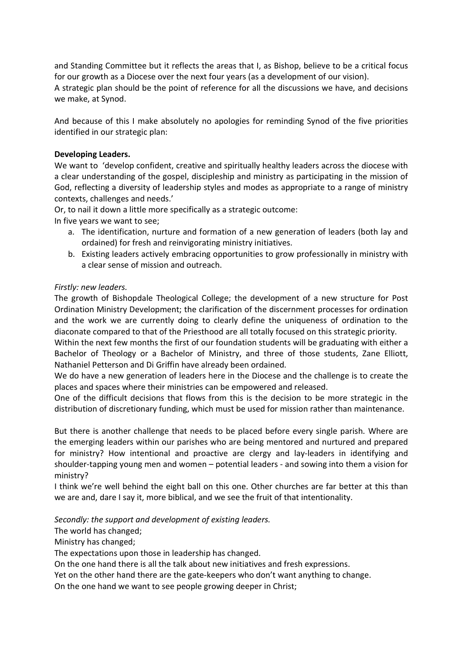and Standing Committee but it reflects the areas that I, as Bishop, believe to be a critical focus for our growth as a Diocese over the next four years (as a development of our vision).

A strategic plan should be the point of reference for all the discussions we have, and decisions we make, at Synod.

And because of this I make absolutely no apologies for reminding Synod of the five priorities identified in our strategic plan:

### Developing Leaders.

We want to 'develop confident, creative and spiritually healthy leaders across the diocese with a clear understanding of the gospel, discipleship and ministry as participating in the mission of God, reflecting a diversity of leadership styles and modes as appropriate to a range of ministry contexts, challenges and needs.'

Or, to nail it down a little more specifically as a strategic outcome:

In five years we want to see;

- a. The identification, nurture and formation of a new generation of leaders (both lay and ordained) for fresh and reinvigorating ministry initiatives.
- b. Existing leaders actively embracing opportunities to grow professionally in ministry with a clear sense of mission and outreach.

#### Firstly: new leaders.

The growth of Bishopdale Theological College; the development of a new structure for Post Ordination Ministry Development; the clarification of the discernment processes for ordination and the work we are currently doing to clearly define the uniqueness of ordination to the diaconate compared to that of the Priesthood are all totally focused on this strategic priority.

Within the next few months the first of our foundation students will be graduating with either a Bachelor of Theology or a Bachelor of Ministry, and three of those students, Zane Elliott, Nathaniel Petterson and Di Griffin have already been ordained.

We do have a new generation of leaders here in the Diocese and the challenge is to create the places and spaces where their ministries can be empowered and released.

One of the difficult decisions that flows from this is the decision to be more strategic in the distribution of discretionary funding, which must be used for mission rather than maintenance.

But there is another challenge that needs to be placed before every single parish. Where are the emerging leaders within our parishes who are being mentored and nurtured and prepared for ministry? How intentional and proactive are clergy and lay-leaders in identifying and shoulder-tapping young men and women – potential leaders - and sowing into them a vision for ministry?

I think we're well behind the eight ball on this one. Other churches are far better at this than we are and, dare I say it, more biblical, and we see the fruit of that intentionality.

Secondly: the support and development of existing leaders.

The world has changed;

Ministry has changed;

The expectations upon those in leadership has changed.

On the one hand there is all the talk about new initiatives and fresh expressions.

Yet on the other hand there are the gate-keepers who don't want anything to change.

On the one hand we want to see people growing deeper in Christ;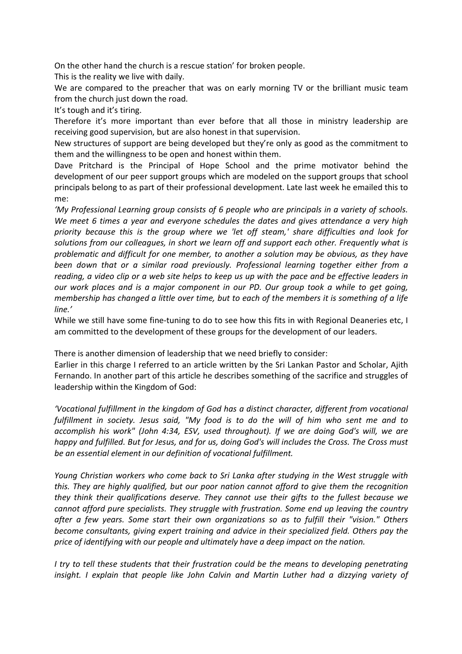On the other hand the church is a rescue station' for broken people.

This is the reality we live with daily.

We are compared to the preacher that was on early morning TV or the brilliant music team from the church just down the road.

It's tough and it's tiring.

Therefore it's more important than ever before that all those in ministry leadership are receiving good supervision, but are also honest in that supervision.

New structures of support are being developed but they're only as good as the commitment to them and the willingness to be open and honest within them.

Dave Pritchard is the Principal of Hope School and the prime motivator behind the development of our peer support groups which are modeled on the support groups that school principals belong to as part of their professional development. Late last week he emailed this to me:

'My Professional Learning group consists of 6 people who are principals in a variety of schools. We meet 6 times a year and everyone schedules the dates and gives attendance a very high priority because this is the group where we 'let off steam,' share difficulties and look for solutions from our colleagues, in short we learn off and support each other. Frequently what is problematic and difficult for one member, to another a solution may be obvious, as they have been down that or a similar road previously. Professional learning together either from a reading, a video clip or a web site helps to keep us up with the pace and be effective leaders in our work places and is a major component in our PD. Our group took a while to get going, membership has changed a little over time, but to each of the members it is something of a life line.'

While we still have some fine-tuning to do to see how this fits in with Regional Deaneries etc, I am committed to the development of these groups for the development of our leaders.

There is another dimension of leadership that we need briefly to consider:

Earlier in this charge I referred to an article written by the Sri Lankan Pastor and Scholar, Ajith Fernando. In another part of this article he describes something of the sacrifice and struggles of leadership within the Kingdom of God:

'Vocational fulfillment in the kingdom of God has a distinct character, different from vocational fulfillment in society. Jesus said, "My food is to do the will of him who sent me and to accomplish his work" (John 4:34, ESV, used throughout). If we are doing God's will, we are happy and fulfilled. But for Jesus, and for us, doing God's will includes the Cross. The Cross must be an essential element in our definition of vocational fulfillment.

Young Christian workers who come back to Sri Lanka after studying in the West struggle with this. They are highly qualified, but our poor nation cannot afford to give them the recognition they think their qualifications deserve. They cannot use their gifts to the fullest because we cannot afford pure specialists. They struggle with frustration. Some end up leaving the country after a few years. Some start their own organizations so as to fulfill their "vision." Others become consultants, giving expert training and advice in their specialized field. Others pay the price of identifying with our people and ultimately have a deep impact on the nation.

I try to tell these students that their frustration could be the means to developing penetrating insight. I explain that people like John Calvin and Martin Luther had a dizzying variety of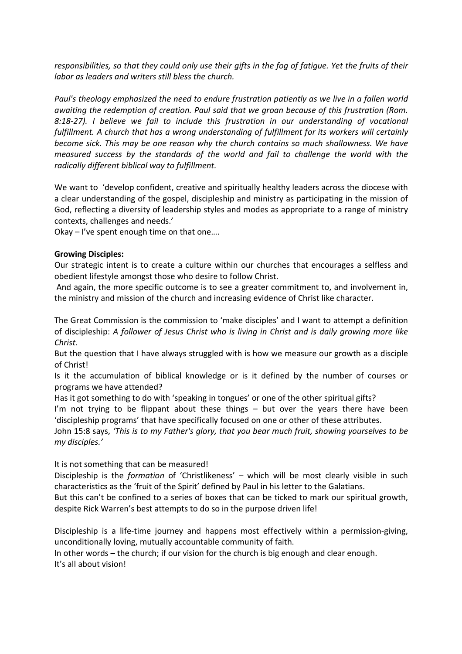responsibilities, so that they could only use their gifts in the fog of fatigue. Yet the fruits of their labor as leaders and writers still bless the church.

Paul's theology emphasized the need to endure frustration patiently as we live in a fallen world awaiting the redemption of creation. Paul said that we groan because of this frustration (Rom. 8:18-27). I believe we fail to include this frustration in our understanding of vocational fulfillment. A church that has a wrong understanding of fulfillment for its workers will certainly become sick. This may be one reason why the church contains so much shallowness. We have measured success by the standards of the world and fail to challenge the world with the radically different biblical way to fulfillment.

We want to 'develop confident, creative and spiritually healthy leaders across the diocese with a clear understanding of the gospel, discipleship and ministry as participating in the mission of God, reflecting a diversity of leadership styles and modes as appropriate to a range of ministry contexts, challenges and needs.'

Okay – I've spent enough time on that one….

#### Growing Disciples:

Our strategic intent is to create a culture within our churches that encourages a selfless and obedient lifestyle amongst those who desire to follow Christ.

 And again, the more specific outcome is to see a greater commitment to, and involvement in, the ministry and mission of the church and increasing evidence of Christ like character.

The Great Commission is the commission to 'make disciples' and I want to attempt a definition of discipleship: A follower of Jesus Christ who is living in Christ and is daily growing more like Christ.

But the question that I have always struggled with is how we measure our growth as a disciple of Christ!

Is it the accumulation of biblical knowledge or is it defined by the number of courses or programs we have attended?

Has it got something to do with 'speaking in tongues' or one of the other spiritual gifts?

I'm not trying to be flippant about these things  $-$  but over the years there have been 'discipleship programs' that have specifically focused on one or other of these attributes.

John 15:8 says, 'This is to my Father's glory, that you bear much fruit, showing yourselves to be my disciples.'

It is not something that can be measured!

Discipleship is the *formation* of 'Christlikeness' – which will be most clearly visible in such characteristics as the 'fruit of the Spirit' defined by Paul in his letter to the Galatians.

But this can't be confined to a series of boxes that can be ticked to mark our spiritual growth, despite Rick Warren's best attempts to do so in the purpose driven life!

Discipleship is a life-time journey and happens most effectively within a permission-giving, unconditionally loving, mutually accountable community of faith.

In other words – the church; if our vision for the church is big enough and clear enough. It's all about vision!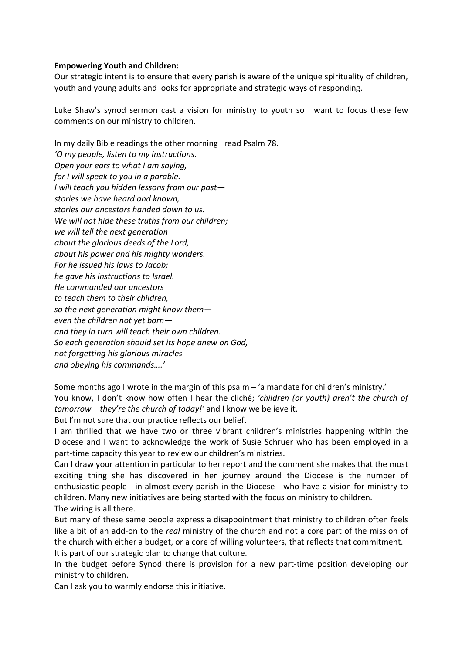#### Empowering Youth and Children:

Our strategic intent is to ensure that every parish is aware of the unique spirituality of children, youth and young adults and looks for appropriate and strategic ways of responding.

Luke Shaw's synod sermon cast a vision for ministry to youth so I want to focus these few comments on our ministry to children.

In my daily Bible readings the other morning I read Psalm 78. 'O my people, listen to my instructions. Open your ears to what I am saying, for I will speak to you in a parable. I will teach you hidden lessons from our past stories we have heard and known, stories our ancestors handed down to us. We will not hide these truths from our children; we will tell the next generation about the glorious deeds of the Lord, about his power and his mighty wonders. For he issued his laws to Jacob; he gave his instructions to Israel. He commanded our ancestors to teach them to their children, so the next generation might know them even the children not yet born and they in turn will teach their own children. So each generation should set its hope anew on God, not forgetting his glorious miracles and obeying his commands….'

Some months ago I wrote in the margin of this psalm – 'a mandate for children's ministry.' You know, I don't know how often I hear the cliché; 'children (or youth) aren't the church of tomorrow – they're the church of today!' and I know we believe it.

But I'm not sure that our practice reflects our belief.

I am thrilled that we have two or three vibrant children's ministries happening within the Diocese and I want to acknowledge the work of Susie Schruer who has been employed in a part-time capacity this year to review our children's ministries.

Can I draw your attention in particular to her report and the comment she makes that the most exciting thing she has discovered in her journey around the Diocese is the number of enthusiastic people - in almost every parish in the Diocese - who have a vision for ministry to children. Many new initiatives are being started with the focus on ministry to children.

The wiring is all there.

But many of these same people express a disappointment that ministry to children often feels like a bit of an add-on to the real ministry of the church and not a core part of the mission of the church with either a budget, or a core of willing volunteers, that reflects that commitment. It is part of our strategic plan to change that culture.

In the budget before Synod there is provision for a new part-time position developing our ministry to children.

Can I ask you to warmly endorse this initiative.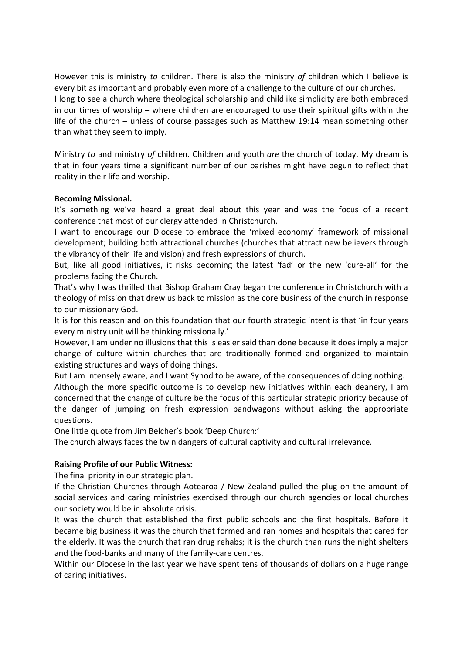However this is ministry to children. There is also the ministry of children which I believe is every bit as important and probably even more of a challenge to the culture of our churches. I long to see a church where theological scholarship and childlike simplicity are both embraced in our times of worship – where children are encouraged to use their spiritual gifts within the life of the church – unless of course passages such as Matthew 19:14 mean something other than what they seem to imply.

Ministry to and ministry of children. Children and youth are the church of today. My dream is that in four years time a significant number of our parishes might have begun to reflect that reality in their life and worship.

## Becoming Missional.

It's something we've heard a great deal about this year and was the focus of a recent conference that most of our clergy attended in Christchurch.

I want to encourage our Diocese to embrace the 'mixed economy' framework of missional development; building both attractional churches (churches that attract new believers through the vibrancy of their life and vision) and fresh expressions of church.

But, like all good initiatives, it risks becoming the latest 'fad' or the new 'cure-all' for the problems facing the Church.

That's why I was thrilled that Bishop Graham Cray began the conference in Christchurch with a theology of mission that drew us back to mission as the core business of the church in response to our missionary God.

It is for this reason and on this foundation that our fourth strategic intent is that 'in four years every ministry unit will be thinking missionally.'

However, I am under no illusions that this is easier said than done because it does imply a major change of culture within churches that are traditionally formed and organized to maintain existing structures and ways of doing things.

But I am intensely aware, and I want Synod to be aware, of the consequences of doing nothing. Although the more specific outcome is to develop new initiatives within each deanery, I am concerned that the change of culture be the focus of this particular strategic priority because of the danger of jumping on fresh expression bandwagons without asking the appropriate questions.

One little quote from Jim Belcher's book 'Deep Church:'

The church always faces the twin dangers of cultural captivity and cultural irrelevance.

# Raising Profile of our Public Witness:

The final priority in our strategic plan.

If the Christian Churches through Aotearoa / New Zealand pulled the plug on the amount of social services and caring ministries exercised through our church agencies or local churches our society would be in absolute crisis.

It was the church that established the first public schools and the first hospitals. Before it became big business it was the church that formed and ran homes and hospitals that cared for the elderly. It was the church that ran drug rehabs; it is the church than runs the night shelters and the food-banks and many of the family-care centres.

Within our Diocese in the last year we have spent tens of thousands of dollars on a huge range of caring initiatives.